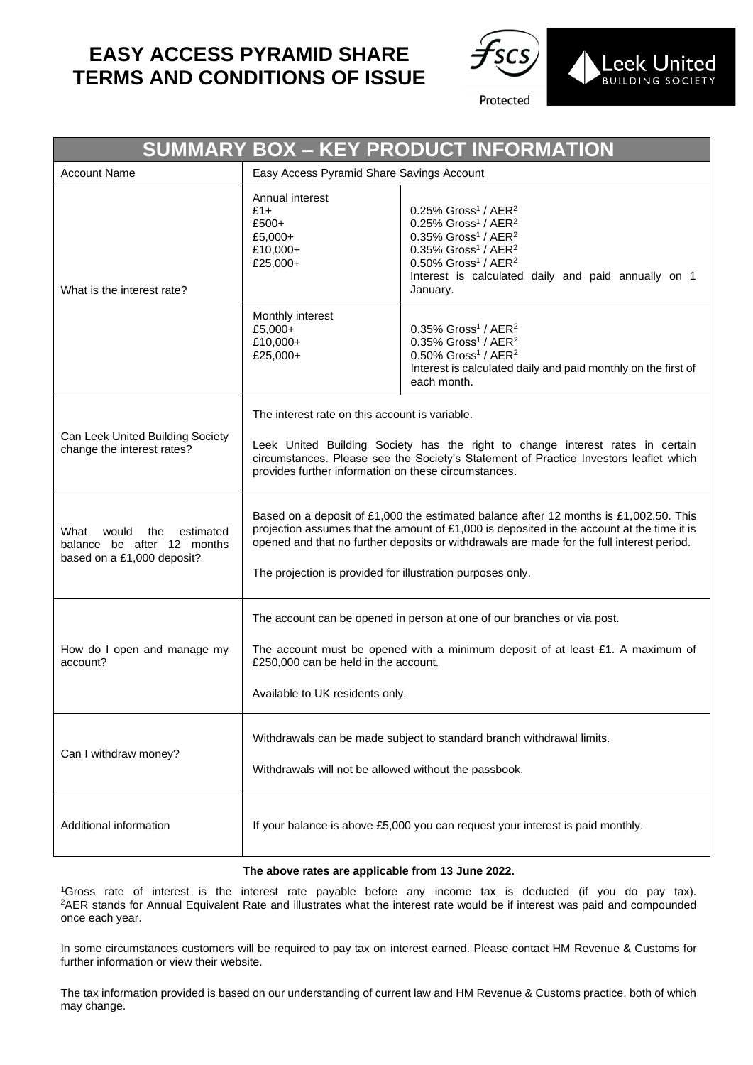## **EASY ACCESS PYRAMID SHARE TERMS AND CONDITIONS OF ISSUE**



Protected

| SUMMARY BOX - KEY PRODUCT INFORMATION                                                         |                                                                                                                                                                                                                                                                                                                                                  |                                                                                                                                                                                                                                                                                                                        |
|-----------------------------------------------------------------------------------------------|--------------------------------------------------------------------------------------------------------------------------------------------------------------------------------------------------------------------------------------------------------------------------------------------------------------------------------------------------|------------------------------------------------------------------------------------------------------------------------------------------------------------------------------------------------------------------------------------------------------------------------------------------------------------------------|
| <b>Account Name</b>                                                                           | Easy Access Pyramid Share Savings Account                                                                                                                                                                                                                                                                                                        |                                                                                                                                                                                                                                                                                                                        |
| What is the interest rate?                                                                    | Annual interest<br>$£1+$<br>£500+<br>£5,000+<br>£10,000+<br>£25,000+                                                                                                                                                                                                                                                                             | $0.25\%$ Gross <sup>1</sup> / AER <sup>2</sup><br>$0.25\%$ Gross <sup>1</sup> / AER <sup>2</sup><br>$0.35\%$ Gross <sup>1</sup> / AER <sup>2</sup><br>$0.35\%$ Gross <sup>1</sup> / AER <sup>2</sup><br>0.50% Gross <sup>1</sup> / AER <sup>2</sup><br>Interest is calculated daily and paid annually on 1<br>January. |
|                                                                                               | Monthly interest<br>£5,000+<br>£10,000+<br>£25,000+                                                                                                                                                                                                                                                                                              | $0.35\%$ Gross <sup>1</sup> / AER <sup>2</sup><br>$0.35\%$ Gross <sup>1</sup> / AER <sup>2</sup><br>$0.50\%$ Gross <sup>1</sup> / AER <sup>2</sup><br>Interest is calculated daily and paid monthly on the first of<br>each month.                                                                                     |
| Can Leek United Building Society<br>change the interest rates?                                | The interest rate on this account is variable.<br>Leek United Building Society has the right to change interest rates in certain<br>circumstances. Please see the Society's Statement of Practice Investors leaflet which<br>provides further information on these circumstances.                                                                |                                                                                                                                                                                                                                                                                                                        |
| would<br>estimated<br>What<br>the<br>balance be after 12 months<br>based on a £1,000 deposit? | Based on a deposit of £1,000 the estimated balance after 12 months is £1,002.50. This<br>projection assumes that the amount of $£1,000$ is deposited in the account at the time it is<br>opened and that no further deposits or withdrawals are made for the full interest period.<br>The projection is provided for illustration purposes only. |                                                                                                                                                                                                                                                                                                                        |
| How do I open and manage my<br>account?                                                       | The account can be opened in person at one of our branches or via post.<br>The account must be opened with a minimum deposit of at least £1. A maximum of<br>£250,000 can be held in the account.<br>Available to UK residents only.                                                                                                             |                                                                                                                                                                                                                                                                                                                        |
| Can I withdraw money?                                                                         | Withdrawals can be made subject to standard branch withdrawal limits.<br>Withdrawals will not be allowed without the passbook.                                                                                                                                                                                                                   |                                                                                                                                                                                                                                                                                                                        |
| Additional information                                                                        | If your balance is above £5,000 you can request your interest is paid monthly.                                                                                                                                                                                                                                                                   |                                                                                                                                                                                                                                                                                                                        |

## **The above rates are applicable from 13 June 2022.**

<sup>1</sup>Gross rate of interest is the interest rate payable before any income tax is deducted (if you do pay tax). <sup>2</sup>AER stands for Annual Equivalent Rate and illustrates what the interest rate would be if interest was paid and compounded once each year.

In some circumstances customers will be required to pay tax on interest earned. Please contact HM Revenue & Customs for further information or view their website.

The tax information provided is based on our understanding of current law and HM Revenue & Customs practice, both of which may change.